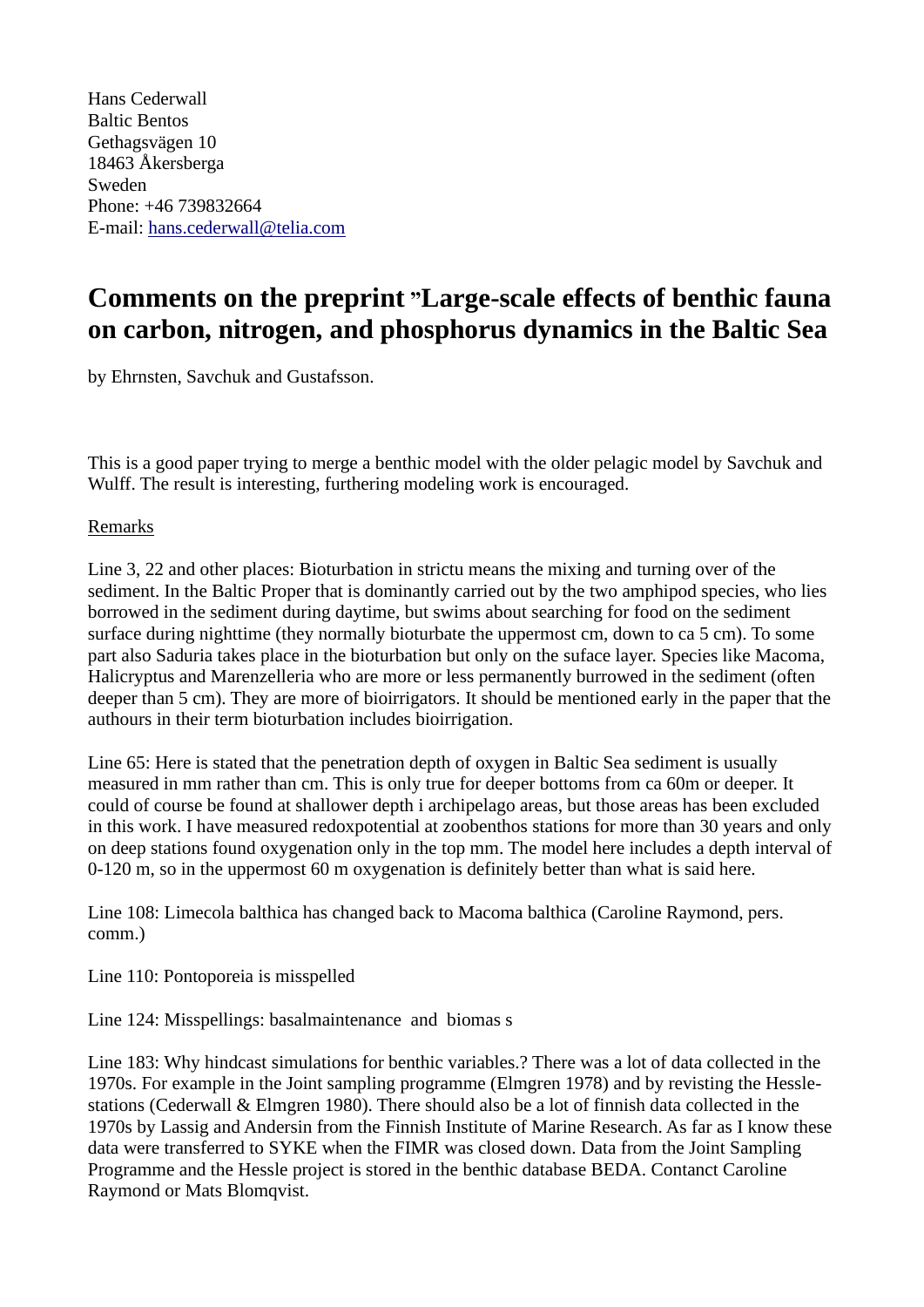Hans Cederwall Baltic Bentos Gethagsvägen 10 18463 Åkersberga Sweden Phone: +46 739832664 E-mail: [hans.cederwall@telia.com](mailto:hans.cederwall@telia.com)

## **Comments on the preprint "Large-scale effects of benthic fauna on carbon, nitrogen, and phosphorus dynamics in the Baltic Sea**

by Ehrnsten, Savchuk and Gustafsson.

This is a good paper trying to merge a benthic model with the older pelagic model by Savchuk and Wulff. The result is interesting, furthering modeling work is encouraged.

## Remarks

Line 3, 22 and other places: Bioturbation in strictu means the mixing and turning over of the sediment. In the Baltic Proper that is dominantly carried out by the two amphipod species, who lies borrowed in the sediment during daytime, but swims about searching for food on the sediment surface during nighttime (they normally bioturbate the uppermost cm, down to ca 5 cm). To some part also Saduria takes place in the bioturbation but only on the suface layer. Species like Macoma, Halicryptus and Marenzelleria who are more or less permanently burrowed in the sediment (often deeper than 5 cm). They are more of bioirrigators. It should be mentioned early in the paper that the authours in their term bioturbation includes bioirrigation.

Line 65: Here is stated that the penetration depth of oxygen in Baltic Sea sediment is usually measured in mm rather than cm. This is only true for deeper bottoms from ca 60m or deeper. It could of course be found at shallower depth i archipelago areas, but those areas has been excluded in this work. I have measured redoxpotential at zoobenthos stations for more than 30 years and only on deep stations found oxygenation only in the top mm. The model here includes a depth interval of 0-120 m, so in the uppermost 60 m oxygenation is definitely better than what is said here.

Line 108: Limecola balthica has changed back to Macoma balthica (Caroline Raymond, pers. comm.)

Line 110: Pontoporeia is misspelled

Line 124: Misspellings: basalmaintenance and biomas s

Line 183: Why hindcast simulations for benthic variables.? There was a lot of data collected in the 1970s. For example in the Joint sampling programme (Elmgren 1978) and by revisting the Hesslestations (Cederwall & Elmgren 1980). There should also be a lot of finnish data collected in the 1970s by Lassig and Andersin from the Finnish Institute of Marine Research. As far as I know these data were transferred to SYKE when the FIMR was closed down. Data from the Joint Sampling Programme and the Hessle project is stored in the benthic database BEDA. Contanct Caroline Raymond or Mats Blomqvist.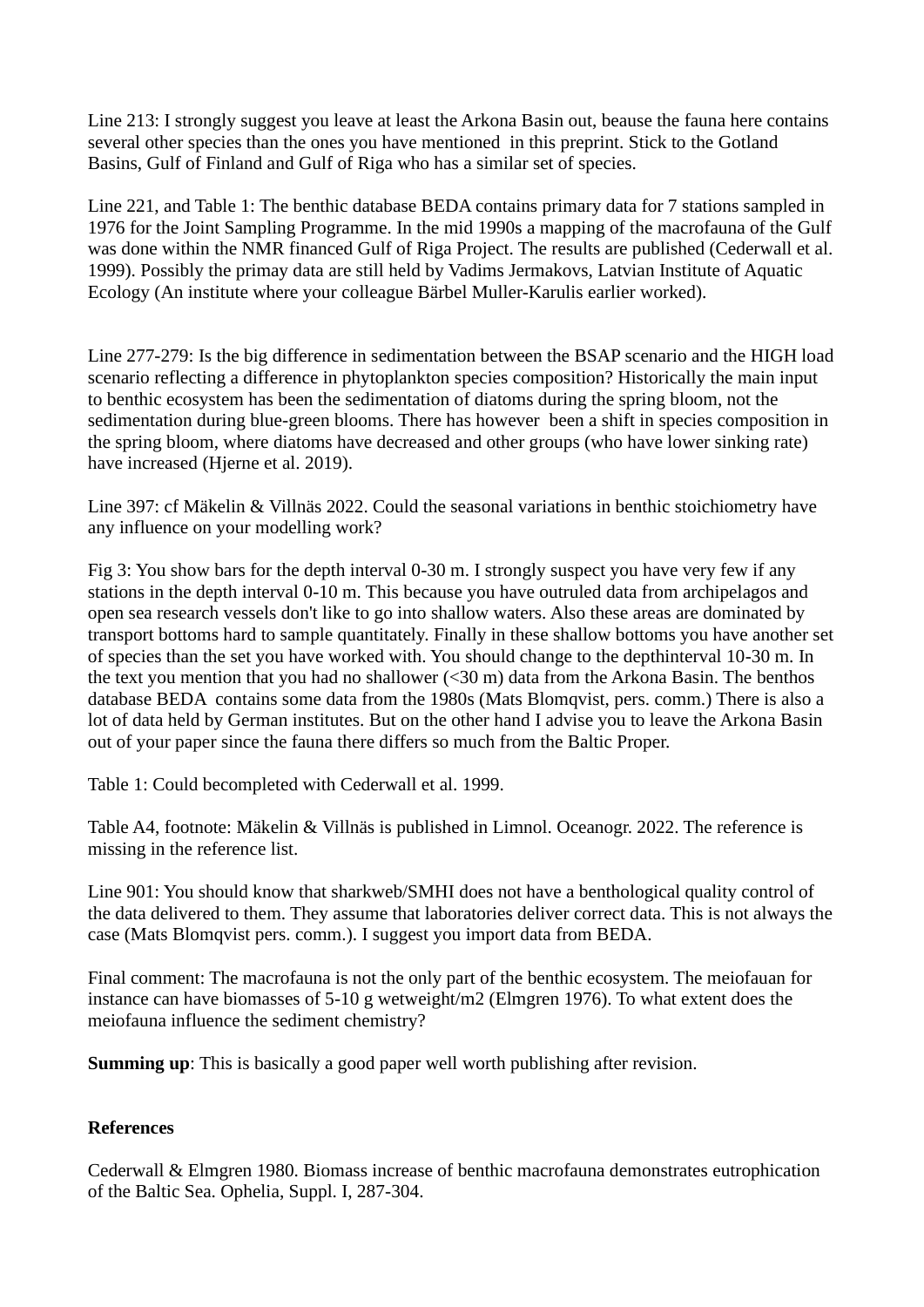Line 213: I strongly suggest you leave at least the Arkona Basin out, beause the fauna here contains several other species than the ones you have mentioned in this preprint. Stick to the Gotland Basins, Gulf of Finland and Gulf of Riga who has a similar set of species.

Line 221, and Table 1: The benthic database BEDA contains primary data for 7 stations sampled in 1976 for the Joint Sampling Programme. In the mid 1990s a mapping of the macrofauna of the Gulf was done within the NMR financed Gulf of Riga Project. The results are published (Cederwall et al. 1999). Possibly the primay data are still held by Vadims Jermakovs, Latvian Institute of Aquatic Ecology (An institute where your colleague Bärbel Muller-Karulis earlier worked).

Line 277-279: Is the big difference in sedimentation between the BSAP scenario and the HIGH load scenario reflecting a difference in phytoplankton species composition? Historically the main input to benthic ecosystem has been the sedimentation of diatoms during the spring bloom, not the sedimentation during blue-green blooms. There has however been a shift in species composition in the spring bloom, where diatoms have decreased and other groups (who have lower sinking rate) have increased (Hjerne et al. 2019).

Line 397: cf Mäkelin & Villnäs 2022. Could the seasonal variations in benthic stoichiometry have any influence on your modelling work?

Fig 3: You show bars for the depth interval 0-30 m. I strongly suspect you have very few if any stations in the depth interval 0-10 m. This because you have outruled data from archipelagos and open sea research vessels don't like to go into shallow waters. Also these areas are dominated by transport bottoms hard to sample quantitately. Finally in these shallow bottoms you have another set of species than the set you have worked with. You should change to the depthinterval 10-30 m. In the text you mention that you had no shallower  $( $30 \text{ m}$ )$  data from the Arkona Basin. The benthos database BEDA contains some data from the 1980s (Mats Blomqvist, pers. comm.) There is also a lot of data held by German institutes. But on the other hand I advise you to leave the Arkona Basin out of your paper since the fauna there differs so much from the Baltic Proper.

Table 1: Could becompleted with Cederwall et al. 1999.

Table A4, footnote: Mäkelin & Villnäs is published in Limnol. Oceanogr. 2022. The reference is missing in the reference list.

Line 901: You should know that sharkweb/SMHI does not have a benthological quality control of the data delivered to them. They assume that laboratories deliver correct data. This is not always the case (Mats Blomqvist pers. comm.). I suggest you import data from BEDA.

Final comment: The macrofauna is not the only part of the benthic ecosystem. The meiofauan for instance can have biomasses of 5-10 g wetweight/m2 (Elmgren 1976). To what extent does the meiofauna influence the sediment chemistry?

**Summing up**: This is basically a good paper well worth publishing after revision.

## **References**

Cederwall & Elmgren 1980. Biomass increase of benthic macrofauna demonstrates eutrophication of the Baltic Sea. Ophelia, Suppl. I, 287-304.